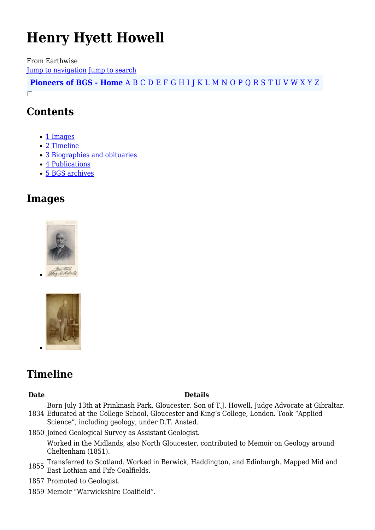# **Henry Hyett Howell**

From Earthwise [Jump to navigation](#page--1-0) [Jump to search](#page--1-0)

**[Pioneers of BGS - Home](http://earthwise.bgs.ac.uk/index.php/Pioneers_of_the_British_Geological_Survey)** [A](http://earthwise.bgs.ac.uk/index.php/Pioneers_of_the_British_Geological_Survey#A) [B](http://earthwise.bgs.ac.uk/index.php/Pioneers_of_the_British_Geological_Survey#B) [C](http://earthwise.bgs.ac.uk/index.php/Pioneers_of_the_British_Geological_Survey#C) [D](http://earthwise.bgs.ac.uk/index.php/Pioneers_of_the_British_Geological_Survey#D) [E](http://earthwise.bgs.ac.uk/index.php/Pioneers_of_the_British_Geological_Survey#E) [F](http://earthwise.bgs.ac.uk/index.php/Pioneers_of_the_British_Geological_Survey#F) [G](http://earthwise.bgs.ac.uk/index.php/Pioneers_of_the_British_Geological_Survey#G) [H](http://earthwise.bgs.ac.uk/index.php/Pioneers_of_the_British_Geological_Survey#H) [I](http://earthwise.bgs.ac.uk/index.php/Pioneers_of_the_British_Geological_Survey#I) [J](http://earthwise.bgs.ac.uk/index.php/Pioneers_of_the_British_Geological_Survey#J) [K](http://earthwise.bgs.ac.uk/index.php/Pioneers_of_the_British_Geological_Survey#K) [L](http://earthwise.bgs.ac.uk/index.php/Pioneers_of_the_British_Geological_Survey#L) [M](http://earthwise.bgs.ac.uk/index.php/Pioneers_of_the_British_Geological_Survey#M) [N](http://earthwise.bgs.ac.uk/index.php/Pioneers_of_the_British_Geological_Survey#N) [O](http://earthwise.bgs.ac.uk/index.php/Pioneers_of_the_British_Geological_Survey#O) [P](http://earthwise.bgs.ac.uk/index.php/Pioneers_of_the_British_Geological_Survey#P) [Q](http://earthwise.bgs.ac.uk/index.php/Pioneers_of_the_British_Geological_Survey#Q) [R](http://earthwise.bgs.ac.uk/index.php/Pioneers_of_the_British_Geological_Survey#R) [S](http://earthwise.bgs.ac.uk/index.php/Pioneers_of_the_British_Geological_Survey#S) [T](http://earthwise.bgs.ac.uk/index.php/Pioneers_of_the_British_Geological_Survey#T) [U](http://earthwise.bgs.ac.uk/index.php/Pioneers_of_the_British_Geological_Survey#U) [V](http://earthwise.bgs.ac.uk/index.php/Pioneers_of_the_British_Geological_Survey#V) [W](http://earthwise.bgs.ac.uk/index.php/Pioneers_of_the_British_Geological_Survey#W) [X](http://earthwise.bgs.ac.uk/index.php/Pioneers_of_the_British_Geological_Survey#X) [Y](http://earthwise.bgs.ac.uk/index.php/Pioneers_of_the_British_Geological_Survey#Y) [Z](http://earthwise.bgs.ac.uk/index.php/Pioneers_of_the_British_Geological_Survey#Z)  $\Box$ 

### **Contents**

- [1](#page--1-0) [Images](#page--1-0)
- [2](#page--1-0) [Timeline](#page--1-0)
- [3](#page--1-0) [Biographies and obituaries](#page--1-0)
- [4](#page--1-0) [Publications](#page--1-0)
- [5](#page--1-0) [BGS archives](#page--1-0)

### **Images**





### **Timeline**

#### **Date Details**

1834 Educated at the College School, Gloucester and King's College, London. Took "Applied Born July 13th at Prinknash Park, Gloucester. Son of T.J. Howell, Judge Advocate at Gibraltar.

Science", including geology, under D.T. Ansted.

1850 Joined Geological Survey as Assistant Geologist. Worked in the Midlands, also North Gloucester, contributed to Memoir on Geology around Cheltenham (1851).

- 1855 Transferred to Scotland. Worked in Berwick, Haddington, and Edinburgh. Mapped Mid and East Lothian and Fife Coalfields.
- 1857 Promoted to Geologist.
- 1859 Memoir "Warwickshire Coalfield".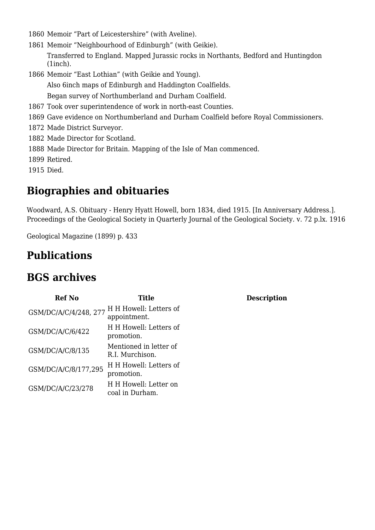- 1860 Memoir "Part of Leicestershire" (with Aveline).
- 1861 Memoir "Neighbourhood of Edinburgh" (with Geikie). Transferred to England. Mapped Jurassic rocks in Northants, Bedford and Huntingdon (1inch).
- 1866 Memoir "East Lothian" (with Geikie and Young).

Also 6inch maps of Edinburgh and Haddington Coalfields.

Began survey of Northumberland and Durham Coalfield.

- 1867 Took over superintendence of work in north-east Counties.
- 1869 Gave evidence on Northumberland and Durham Coalfield before Royal Commissioners.
- 1872 Made District Surveyor.
- 1882 Made Director for Scotland.
- 1888 Made Director for Britain. Mapping of the Isle of Man commenced.
- 1899 Retired.
- 1915 Died.

### **Biographies and obituaries**

Woodward, A.S. Obituary - Henry Hyatt Howell, born 1834, died 1915. [In Anniversary Address.]. Proceedings of the Geological Society in Quarterly Journal of the Geological Society. v. 72 p.lx. 1916

**Description** 

Geological Magazine (1899) p. 433

### **Publications**

### **BGS archives**

| <b>Ref No</b>         | <b>Title</b>                              |
|-----------------------|-------------------------------------------|
| GSM/DC/A/C/4/248, 277 | H H Howell: Letters of<br>appointment.    |
| GSM/DC/A/C/6/422      | H H Howell: Letters of<br>promotion.      |
| GSM/DC/A/C/8/135      | Mentioned in letter of<br>R.I. Murchison. |
| GSM/DC/A/C/8/177,295  | H H Howell: Letters of<br>promotion.      |
| GSM/DC/A/C/23/278     | H H Howell: Letter on<br>coal in Durham.  |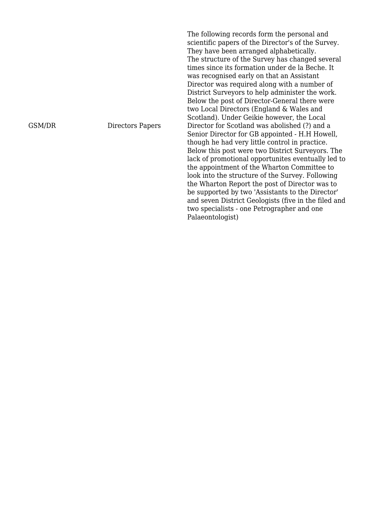GSM/DR Directors Papers

The following records form the personal and scientific papers of the Director's of the Survey. They have been arranged alphabetically. The structure of the Survey has changed several times since its formation under de la Beche. It was recognised early on that an Assistant Director was required along with a number of District Surveyors to help administer the work. Below the post of Director-General there were two Local Directors (England & Wales and Scotland). Under Geikie however, the Local Director for Scotland was abolished (?) and a Senior Director for GB appointed - H.H Howell, though he had very little control in practice. Below this post were two District Surveyors. The lack of promotional opportunites eventually led to the appointment of the Wharton Committee to look into the structure of the Survey. Following the Wharton Report the post of Director was to be supported by two 'Assistants to the Director' and seven District Geologists (five in the filed and two specialists - one Petrographer and one Palaeontologist)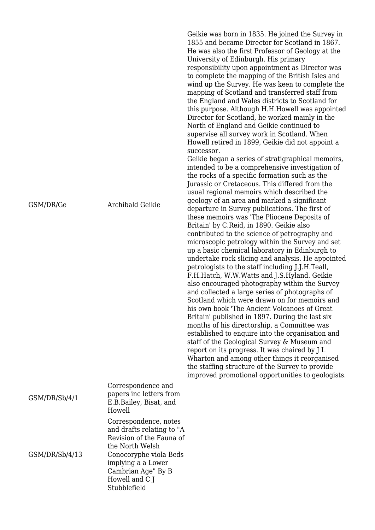|                |                                                                                                                                                                                                           | Geikie was born in 1835. He joined the Survey in<br>1855 and became Director for Scotland in 1867.<br>He was also the first Professor of Geology at the<br>University of Edinburgh. His primary<br>responsibility upon appointment as Director was<br>to complete the mapping of the British Isles and<br>wind up the Survey. He was keen to complete the<br>mapping of Scotland and transferred staff from<br>the England and Wales districts to Scotland for<br>this purpose. Although H.H.Howell was appointed<br>Director for Scotland, he worked mainly in the<br>North of England and Geikie continued to<br>supervise all survey work in Scotland. When<br>Howell retired in 1899, Geikie did not appoint a<br>successor.<br>Geikie began a series of stratigraphical memoirs,<br>intended to be a comprehensive investigation of<br>the rocks of a specific formation such as the<br>Jurassic or Cretaceous. This differed from the<br>usual regional memoirs which described the                                                                                                                                |
|----------------|-----------------------------------------------------------------------------------------------------------------------------------------------------------------------------------------------------------|--------------------------------------------------------------------------------------------------------------------------------------------------------------------------------------------------------------------------------------------------------------------------------------------------------------------------------------------------------------------------------------------------------------------------------------------------------------------------------------------------------------------------------------------------------------------------------------------------------------------------------------------------------------------------------------------------------------------------------------------------------------------------------------------------------------------------------------------------------------------------------------------------------------------------------------------------------------------------------------------------------------------------------------------------------------------------------------------------------------------------|
| GSM/DR/Ge      | <b>Archibald Geikie</b>                                                                                                                                                                                   | geology of an area and marked a significant<br>departure in Survey publications. The first of<br>these memoirs was 'The Pliocene Deposits of<br>Britain' by C.Reid, in 1890. Geikie also<br>contributed to the science of petrography and<br>microscopic petrology within the Survey and set<br>up a basic chemical laboratory in Edinburgh to<br>undertake rock slicing and analysis. He appointed<br>petrologists to the staff including J.J.H.Teall,<br>F.H.Hatch, W.W.Watts and J.S.Hyland. Geikie<br>also encouraged photography within the Survey<br>and collected a large series of photographs of<br>Scotland which were drawn on for memoirs and<br>his own book 'The Ancient Volcanoes of Great<br>Britain' published in 1897. During the last six<br>months of his directorship, a Committee was<br>established to enquire into the organisation and<br>staff of the Geological Survey & Museum and<br>report on its progress. It was chaired by J L<br>Wharton and among other things it reorganised<br>the staffing structure of the Survey to provide<br>improved promotional opportunities to geologists. |
| GSM/DR/Sb/4/1  | Correspondence and<br>papers inc letters from<br>E.B.Bailey, Bisat, and<br>Howell                                                                                                                         |                                                                                                                                                                                                                                                                                                                                                                                                                                                                                                                                                                                                                                                                                                                                                                                                                                                                                                                                                                                                                                                                                                                          |
| GSM/DR/Sb/4/13 | Correspondence, notes<br>and drafts relating to "A<br>Revision of the Fauna of<br>the North Welsh<br>Conocoryphe viola Beds<br>implying a a Lower<br>Cambrian Age" By B<br>Howell and C J<br>Stubblefield |                                                                                                                                                                                                                                                                                                                                                                                                                                                                                                                                                                                                                                                                                                                                                                                                                                                                                                                                                                                                                                                                                                                          |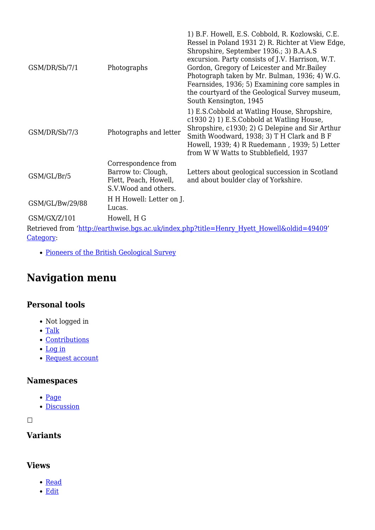|                 |                                                                                             | 1) B.F. Howell, E.S. Cobbold, R. Kozlowski, C.E.                                                                                                                                                                                                                                                                                                                               |
|-----------------|---------------------------------------------------------------------------------------------|--------------------------------------------------------------------------------------------------------------------------------------------------------------------------------------------------------------------------------------------------------------------------------------------------------------------------------------------------------------------------------|
| GSM/DR/Sb/7/1   | Photographs                                                                                 | Ressel in Poland 1931 2) R. Richter at View Edge,<br>Shropshire, September 1936.; 3) B.A.A.S<br>excursion. Party consists of J.V. Harrison, W.T.<br>Gordon, Gregory of Leicester and Mr. Bailey<br>Photograph taken by Mr. Bulman, 1936; 4) W.G.<br>Fearnsides, 1936; 5) Examining core samples in<br>the courtyard of the Geological Survey museum,<br>South Kensington, 1945 |
| GSM/DR/Sb/7/3   | Photographs and letter                                                                      | 1) E.S.Cobbold at Watling House, Shropshire,<br>c1930 2) 1) E.S.Cobbold at Watling House,<br>Shropshire, c1930; 2) G Delepine and Sir Arthur<br>Smith Woodward, 1938; 3) T H Clark and B F<br>Howell, 1939; 4) R Ruedemann, 1939; 5) Letter<br>from W W Watts to Stubblefield, 1937                                                                                            |
| GSM/GL/Br/5     | Correspondence from<br>Barrow to: Clough,<br>Flett, Peach, Howell,<br>S.V. Wood and others. | Letters about geological succession in Scotland<br>and about boulder clay of Yorkshire.                                                                                                                                                                                                                                                                                        |
| GSM/GL/Bw/29/88 | H H Howell: Letter on J.<br>Lucas.                                                          |                                                                                                                                                                                                                                                                                                                                                                                |
| GSM/GX/Z/101    | Howell, H G                                                                                 |                                                                                                                                                                                                                                                                                                                                                                                |
|                 |                                                                                             | Retrieved from ' <u>http://earthwise.bqs.ac.uk/index.php?title=Henry_Hyett_Howell&amp;oldid=49409</u> '                                                                                                                                                                                                                                                                        |
| Category:       |                                                                                             |                                                                                                                                                                                                                                                                                                                                                                                |

• [Pioneers of the British Geological Survey](http://earthwise.bgs.ac.uk/index.php/Category:Pioneers_of_the_British_Geological_Survey)

## **Navigation menu**

#### **Personal tools**

- Not logged in
- $\bullet$  [Talk](http://earthwise.bgs.ac.uk/index.php/Special:MyTalk)
- [Contributions](http://earthwise.bgs.ac.uk/index.php/Special:MyContributions)
- [Log in](http://earthwise.bgs.ac.uk/index.php?title=Special:UserLogin&returnto=Henry+Hyett+Howell&returntoquery=action%3Dmpdf)
- [Request account](http://earthwise.bgs.ac.uk/index.php/Special:RequestAccount)

#### **Namespaces**

- [Page](http://earthwise.bgs.ac.uk/index.php/Henry_Hyett_Howell)
- [Discussion](http://earthwise.bgs.ac.uk/index.php?title=Talk:Henry_Hyett_Howell&action=edit&redlink=1)

 $\Box$ 

### **Variants**

#### **Views**

- [Read](http://earthwise.bgs.ac.uk/index.php/Henry_Hyett_Howell)
- [Edit](http://earthwise.bgs.ac.uk/index.php?title=Henry_Hyett_Howell&action=edit)